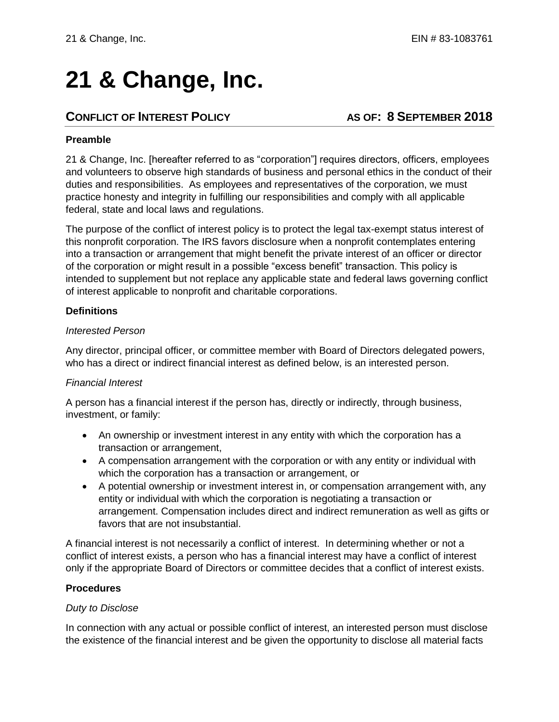# **21 & Change, Inc.**

## **CONFLICT OF INTEREST POLICY AS OF: 8 SEPTEMBER 2018**

#### **Preamble**

21 & Change, Inc. [hereafter referred to as "corporation"] requires directors, officers, employees and volunteers to observe high standards of business and personal ethics in the conduct of their duties and responsibilities. As employees and representatives of the corporation, we must practice honesty and integrity in fulfilling our responsibilities and comply with all applicable federal, state and local laws and regulations.

The purpose of the conflict of interest policy is to protect the legal tax-exempt status interest of this nonprofit corporation. The IRS favors disclosure when a nonprofit contemplates entering into a transaction or arrangement that might benefit the private interest of an officer or director of the corporation or might result in a possible "excess benefit" transaction. This policy is intended to supplement but not replace any applicable state and federal laws governing conflict of interest applicable to nonprofit and charitable corporations.

#### **Definitions**

#### *Interested Person*

Any director, principal officer, or committee member with Board of Directors delegated powers, who has a direct or indirect financial interest as defined below, is an interested person.

#### *Financial Interest*

A person has a financial interest if the person has, directly or indirectly, through business, investment, or family:

- An ownership or investment interest in any entity with which the corporation has a transaction or arrangement,
- A compensation arrangement with the corporation or with any entity or individual with which the corporation has a transaction or arrangement, or
- A potential ownership or investment interest in, or compensation arrangement with, any entity or individual with which the corporation is negotiating a transaction or arrangement. Compensation includes direct and indirect remuneration as well as gifts or favors that are not insubstantial.

A financial interest is not necessarily a conflict of interest. In determining whether or not a conflict of interest exists, a person who has a financial interest may have a conflict of interest only if the appropriate Board of Directors or committee decides that a conflict of interest exists.

#### **Procedures**

#### *Duty to Disclose*

In connection with any actual or possible conflict of interest, an interested person must disclose the existence of the financial interest and be given the opportunity to disclose all material facts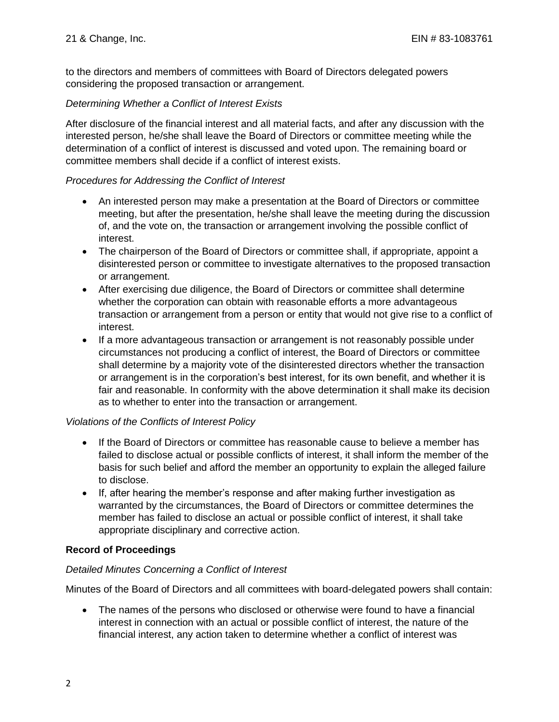to the directors and members of committees with Board of Directors delegated powers considering the proposed transaction or arrangement.

#### *Determining Whether a Conflict of Interest Exists*

After disclosure of the financial interest and all material facts, and after any discussion with the interested person, he/she shall leave the Board of Directors or committee meeting while the determination of a conflict of interest is discussed and voted upon. The remaining board or committee members shall decide if a conflict of interest exists.

#### *Procedures for Addressing the Conflict of Interest*

- An interested person may make a presentation at the Board of Directors or committee meeting, but after the presentation, he/she shall leave the meeting during the discussion of, and the vote on, the transaction or arrangement involving the possible conflict of interest.
- The chairperson of the Board of Directors or committee shall, if appropriate, appoint a disinterested person or committee to investigate alternatives to the proposed transaction or arrangement.
- After exercising due diligence, the Board of Directors or committee shall determine whether the corporation can obtain with reasonable efforts a more advantageous transaction or arrangement from a person or entity that would not give rise to a conflict of interest.
- If a more advantageous transaction or arrangement is not reasonably possible under circumstances not producing a conflict of interest, the Board of Directors or committee shall determine by a majority vote of the disinterested directors whether the transaction or arrangement is in the corporation's best interest, for its own benefit, and whether it is fair and reasonable. In conformity with the above determination it shall make its decision as to whether to enter into the transaction or arrangement.

#### *Violations of the Conflicts of Interest Policy*

- If the Board of Directors or committee has reasonable cause to believe a member has failed to disclose actual or possible conflicts of interest, it shall inform the member of the basis for such belief and afford the member an opportunity to explain the alleged failure to disclose.
- If, after hearing the member's response and after making further investigation as warranted by the circumstances, the Board of Directors or committee determines the member has failed to disclose an actual or possible conflict of interest, it shall take appropriate disciplinary and corrective action.

### **Record of Proceedings**

#### *Detailed Minutes Concerning a Conflict of Interest*

Minutes of the Board of Directors and all committees with board-delegated powers shall contain:

• The names of the persons who disclosed or otherwise were found to have a financial interest in connection with an actual or possible conflict of interest, the nature of the financial interest, any action taken to determine whether a conflict of interest was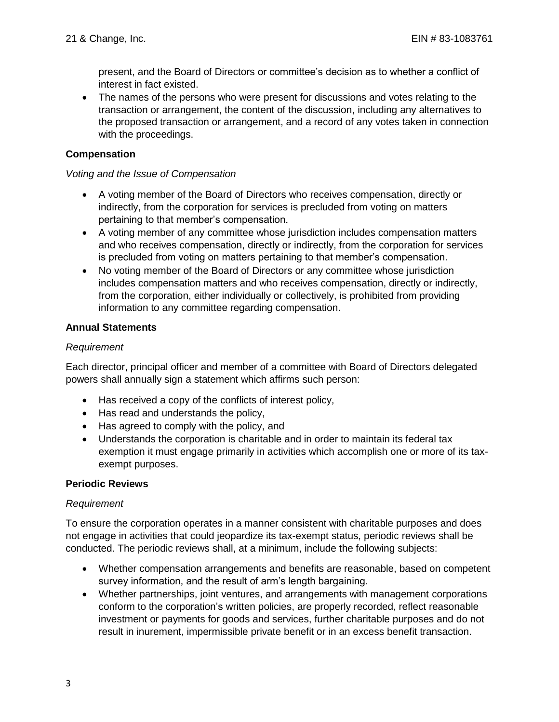present, and the Board of Directors or committee's decision as to whether a conflict of interest in fact existed.

• The names of the persons who were present for discussions and votes relating to the transaction or arrangement, the content of the discussion, including any alternatives to the proposed transaction or arrangement, and a record of any votes taken in connection with the proceedings.

#### **Compensation**

#### *Voting and the Issue of Compensation*

- A voting member of the Board of Directors who receives compensation, directly or indirectly, from the corporation for services is precluded from voting on matters pertaining to that member's compensation.
- A voting member of any committee whose jurisdiction includes compensation matters and who receives compensation, directly or indirectly, from the corporation for services is precluded from voting on matters pertaining to that member's compensation.
- No voting member of the Board of Directors or any committee whose jurisdiction includes compensation matters and who receives compensation, directly or indirectly, from the corporation, either individually or collectively, is prohibited from providing information to any committee regarding compensation.

#### **Annual Statements**

#### *Requirement*

Each director, principal officer and member of a committee with Board of Directors delegated powers shall annually sign a statement which affirms such person:

- Has received a copy of the conflicts of interest policy,
- Has read and understands the policy,
- Has agreed to comply with the policy, and
- Understands the corporation is charitable and in order to maintain its federal tax exemption it must engage primarily in activities which accomplish one or more of its taxexempt purposes.

#### **Periodic Reviews**

#### *Requirement*

To ensure the corporation operates in a manner consistent with charitable purposes and does not engage in activities that could jeopardize its tax-exempt status, periodic reviews shall be conducted. The periodic reviews shall, at a minimum, include the following subjects:

- Whether compensation arrangements and benefits are reasonable, based on competent survey information, and the result of arm's length bargaining.
- Whether partnerships, joint ventures, and arrangements with management corporations conform to the corporation's written policies, are properly recorded, reflect reasonable investment or payments for goods and services, further charitable purposes and do not result in inurement, impermissible private benefit or in an excess benefit transaction.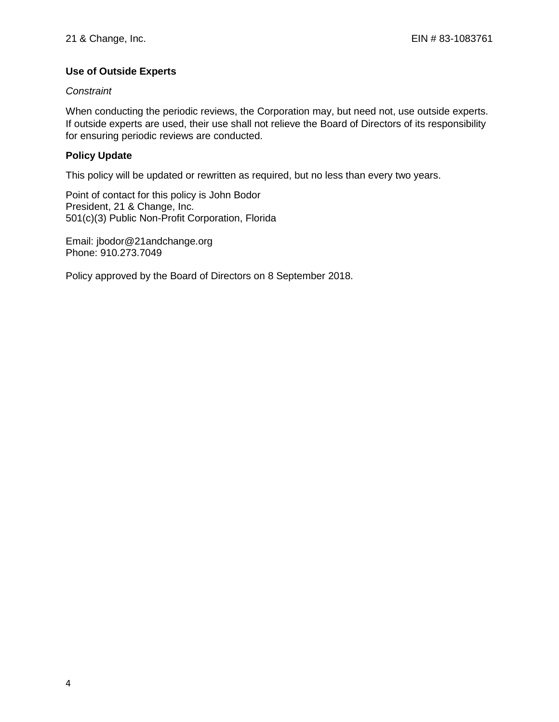### **Use of Outside Experts**

#### *Constraint*

When conducting the periodic reviews, the Corporation may, but need not, use outside experts. If outside experts are used, their use shall not relieve the Board of Directors of its responsibility for ensuring periodic reviews are conducted.

### **Policy Update**

This policy will be updated or rewritten as required, but no less than every two years.

Point of contact for this policy is John Bodor President, 21 & Change, Inc. 501(c)(3) Public Non-Profit Corporation, Florida

Email: jbodor@21andchange.org Phone: 910.273.7049

Policy approved by the Board of Directors on 8 September 2018.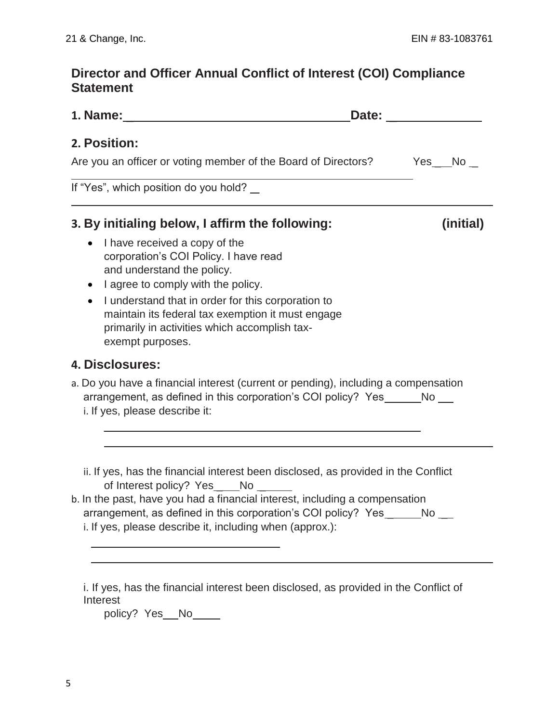# **Director and Officer Annual Conflict of Interest (COI) Compliance Statement**

| 1. Name: the contract of the contract of the contract of the contract of the contract of the contract of the contract of the contract of the contract of the contract of the contract of the contract of the contract of the c                                                                                                                                                             | Date: the contract of the contract of the contract of the contract of the contract of the contract of the contract of the contract of the contract of the contract of the contract of the contract of the contract of the cont |
|--------------------------------------------------------------------------------------------------------------------------------------------------------------------------------------------------------------------------------------------------------------------------------------------------------------------------------------------------------------------------------------------|--------------------------------------------------------------------------------------------------------------------------------------------------------------------------------------------------------------------------------|
| 2. Position:<br>Are you an officer or voting member of the Board of Directors?                                                                                                                                                                                                                                                                                                             | Yes No                                                                                                                                                                                                                         |
| If "Yes", which position do you hold? _                                                                                                                                                                                                                                                                                                                                                    |                                                                                                                                                                                                                                |
| 3. By initialing below, I affirm the following:<br>I have received a copy of the<br>corporation's COI Policy. I have read<br>and understand the policy.<br>I agree to comply with the policy.<br>I understand that in order for this corporation to<br>$\bullet$<br>maintain its federal tax exemption it must engage<br>primarily in activities which accomplish tax-<br>exempt purposes. | (initial)                                                                                                                                                                                                                      |
| 4. Disclosures:<br>a. Do you have a financial interest (current or pending), including a compensation<br>arrangement, as defined in this corporation's COI policy? Yes_ No_<br>i. If yes, please describe it:                                                                                                                                                                              |                                                                                                                                                                                                                                |
| ii. If yes, has the financial interest been disclosed, as provided in the Conflict<br>of Interest policy? Yes_ No_<br>b. In the past, have you had a financial interest, including a compensation<br>arrangement, as defined in this corporation's COI policy? Yes______No __<br>i. If yes, please describe it, including when (approx.):                                                  |                                                                                                                                                                                                                                |

i. If yes, has the financial interest been disclosed, as provided in the Conflict of Interest

policy? Yes\_No\_\_\_\_